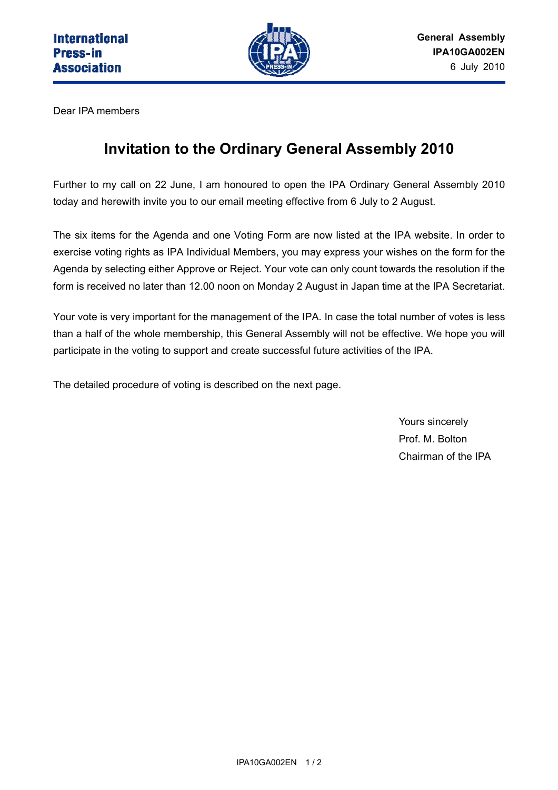

Dear IPA members

## **Invitation to the Ordinary General Assembly 2010**

Further to my call on 22 June, I am honoured to open the IPA Ordinary General Assembly 2010 today and herewith invite you to our email meeting effective from 6 July to 2 August.

The six items for the Agenda and one Voting Form are now listed at the IPA website. In order to exercise voting rights as IPA Individual Members, you may express your wishes on the form for the Agenda by selecting either Approve or Reject. Your vote can only count towards the resolution if the form is received no later than 12.00 noon on Monday 2 August in Japan time at the IPA Secretariat.

Your vote is very important for the management of the IPA. In case the total number of votes is less than a half of the whole membership, this General Assembly will not be effective. We hope you will participate in the voting to support and create successful future activities of the IPA.

The detailed procedure of voting is described on the next page.

Yours sincerely Prof. M. Bolton Chairman of the IPA